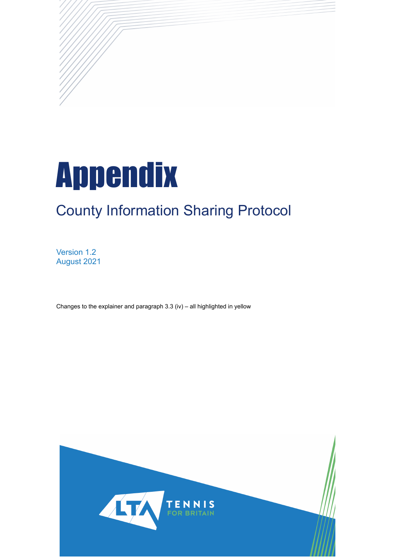

# County Information Sharing Protocol

Version 1.2 August 2021

Changes to the explainer and paragraph 3.3 (iv) – all highlighted in yellow

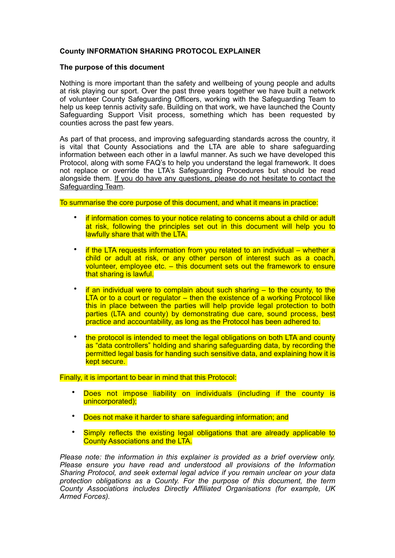# **County INFORMATION SHARING PROTOCOL EXPLAINER**

## **The purpose of this document**

Nothing is more important than the safety and wellbeing of young people and adults at risk playing our sport. Over the past three years together we have built a network of volunteer County Safeguarding Officers, working with the Safeguarding Team to help us keep tennis activity safe. Building on that work, we have launched the County Safeguarding Support Visit process, something which has been requested by counties across the past few years.

As part of that process, and improving safeguarding standards across the country, it is vital that County Associations and the LTA are able to share safeguarding information between each other in a lawful manner. As such we have developed this Protocol, along with some FAQ's to help you understand the legal framework. It does not replace or override the LTA's Safeguarding Procedures but should be read alongside them. If you do have any questions, please do not hesitate to contact the Safeguarding Team.

To summarise the core purpose of this document, and what it means in practice:

- if information comes to your notice relating to concerns about a child or adult at risk, following the principles set out in this document will help you to lawfully share that with the LTA.
- if the LTA requests information from you related to an individual whether a child or adult at risk, or any other person of interest such as a coach, volunteer, employee etc. – this document sets out the framework to ensure that sharing is lawful.
- if an individual were to complain about such sharing  $-$  to the county, to the LTA or to a court or regulator – then the existence of a working Protocol like this in place between the parties will help provide legal protection to both parties (LTA and county) by demonstrating due care, sound process, best practice and accountability, as long as the Protocol has been adhered to.
- the protocol is intended to meet the legal obligations on both LTA and county as "data controllers" holding and sharing safeguarding data, by recording the permitted legal basis for handing such sensitive data, and explaining how it is kept secure.

Finally, it is important to bear in mind that this Protocol:

- Does not impose liability on individuals (including if the county is unincorporated);
- Does not make it harder to share safeguarding information; and
- Simply reflects the existing legal obligations that are already applicable to County Associations and the LTA.

*Please note: the information in this explainer is provided as a brief overview only. Please ensure you have read and understood all provisions of the Information Sharing Protocol, and seek external legal advice if you remain unclear on your data protection obligations as a County. For the purpose of this document, the term County Associations includes Directly Affiliated Organisations (for example, UK Armed Forces).*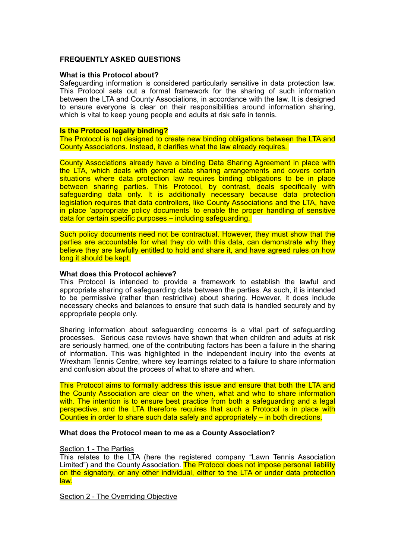## **FREQUENTLY ASKED QUESTIONS**

#### **What is this Protocol about?**

Safeguarding information is considered particularly sensitive in data protection law. This Protocol sets out a formal framework for the sharing of such information between the LTA and County Associations, in accordance with the law. It is designed to ensure everyone is clear on their responsibilities around information sharing, which is vital to keep young people and adults at risk safe in tennis.

#### **Is the Protocol legally binding?**

The Protocol is not designed to create new binding obligations between the LTA and County Associations. Instead, it clarifies what the law already requires.

County Associations already have a binding Data Sharing Agreement in place with the LTA, which deals with general data sharing arrangements and covers certain situations where data protection law requires binding obligations to be in place between sharing parties. This Protocol, by contrast, deals specifically with safeguarding data only. It is additionally necessary because data protection legislation requires that data controllers, like County Associations and the LTA, have in place 'appropriate policy documents' to enable the proper handling of sensitive data for certain specific purposes – including safeguarding.

Such policy documents need not be contractual. However, they must show that the parties are accountable for what they do with this data, can demonstrate why they believe they are lawfully entitled to hold and share it, and have agreed rules on how long it should be kept.

#### **What does this Protocol achieve?**

This Protocol is intended to provide a framework to establish the lawful and appropriate sharing of safeguarding data between the parties. As such, it is intended to be permissive (rather than restrictive) about sharing. However, it does include necessary checks and balances to ensure that such data is handled securely and by appropriate people only.

Sharing information about safeguarding concerns is a vital part of safeguarding processes. Serious case reviews have shown that when children and adults at risk are seriously harmed, one of the contributing factors has been a failure in the sharing of information. This was highlighted in the independent inquiry into the events at Wrexham Tennis Centre, where key learnings related to a failure to share information and confusion about the process of what to share and when.

This Protocol aims to formally address this issue and ensure that both the LTA and the County Association are clear on the when, what and who to share information with. The intention is to ensure best practice from both a safeguarding and a legal perspective, and the LTA therefore requires that such a Protocol is in place with Counties in order to share such data safely and appropriately – in both directions.

## **What does the Protocol mean to me as a County Association?**

#### Section 1 - The Parties

This relates to the LTA (here the registered company "Lawn Tennis Association Limited") and the County Association. The Protocol does not impose personal liability on the signatory, or any other individual, either to the LTA or under data protection law.

Section 2 - The Overriding Objective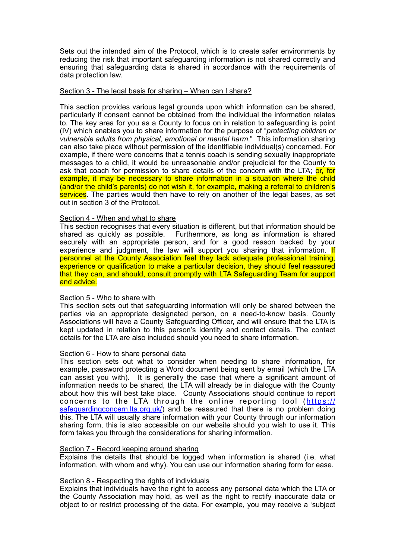Sets out the intended aim of the Protocol, which is to create safer environments by reducing the risk that important safeguarding information is not shared correctly and ensuring that safeguarding data is shared in accordance with the requirements of data protection law.

#### Section 3 - The legal basis for sharing – When can I share?

This section provides various legal grounds upon which information can be shared, particularly if consent cannot be obtained from the individual the information relates to. The key area for you as a County to focus on in relation to safeguarding is point (IV) which enables you to share information for the purpose of "*protecting children or vulnerable adults from physical, emotional or mental harm*." This information sharing can also take place without permission of the identifiable individual(s) concerned. For example, if there were concerns that a tennis coach is sending sexually inappropriate messages to a child, it would be unreasonable and/or prejudicial for the County to ask that coach for permission to share details of the concern with the LTA; or, for example, it may be necessary to share information in a situation where the child (and/or the child's parents) do not wish it, for example, making a referral to children's services. The parties would then have to rely on another of the legal bases, as set out in section 3 of the Protocol.

## Section 4 - When and what to share

This section recognises that every situation is different, but that information should be shared as quickly as possible. Furthermore, as long as information is shared securely with an appropriate person, and for a good reason backed by your experience and judgment, the law will support you sharing that information. If personnel at the County Association feel they lack adequate professional training, experience or qualification to make a particular decision, they should feel reassured that they can, and should, consult promptly with LTA Safeguarding Team for support and advice.

#### Section 5 - Who to share with

This section sets out that safeguarding information will only be shared between the parties via an appropriate designated person, on a need-to-know basis. County Associations will have a County Safeguarding Officer, and will ensure that the LTA is kept updated in relation to this person's identity and contact details. The contact details for the LTA are also included should you need to share information.

#### Section 6 - How to share personal data

This section sets out what to consider when needing to share information, for example, password protecting a Word document being sent by email (which the LTA can assist you with). It is generally the case that where a significant amount of information needs to be shared, the LTA will already be in dialogue with the County about how this will best take place. County Associations should continue to report concerns to the LTA through the online reporting tool ([https://](https://safeguardingconcern.lta.org.uk/) [safeguardingconcern.lta.org.uk/](https://safeguardingconcern.lta.org.uk/)) and be reassured that there is no problem doing this. The LTA will usually share information with your County through our information sharing form, this is also accessible on our website should you wish to use it. This form takes you through the considerations for sharing information.

### Section 7 - Record keeping around sharing

Explains the details that should be logged when information is shared (i.e. what information, with whom and why). You can use our information sharing form for ease.

#### Section 8 - Respecting the rights of individuals

Explains that individuals have the right to access any personal data which the LTA or the County Association may hold, as well as the right to rectify inaccurate data or object to or restrict processing of the data. For example, you may receive a 'subject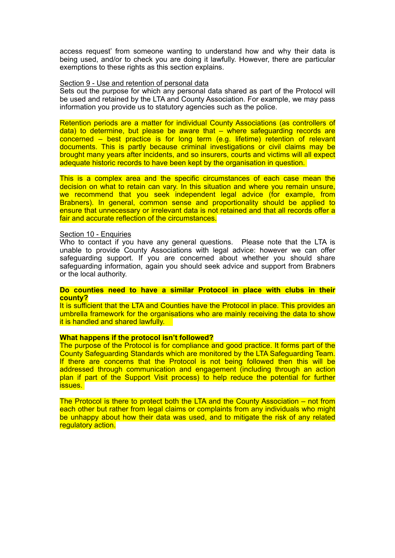access request' from someone wanting to understand how and why their data is being used, and/or to check you are doing it lawfully. However, there are particular exemptions to these rights as this section explains.

#### Section 9 - Use and retention of personal data

Sets out the purpose for which any personal data shared as part of the Protocol will be used and retained by the LTA and County Association. For example, we may pass information you provide us to statutory agencies such as the police.

Retention periods are a matter for individual County Associations (as controllers of data) to determine, but please be aware that – where safeguarding records are concerned – best practice is for long term (e.g. lifetime) retention of relevant documents. This is partly because criminal investigations or civil claims may be brought many years after incidents, and so insurers, courts and victims will all expect adequate historic records to have been kept by the organisation in question.

This is a complex area and the specific circumstances of each case mean the decision on what to retain can vary. In this situation and where you remain unsure, we recommend that you seek independent legal advice (for example, from Brabners). In general, common sense and proportionality should be applied to ensure that unnecessary or irrelevant data is not retained and that all records offer a fair and accurate reflection of the circumstances.

## Section 10 - Enquiries

Who to contact if you have any general questions. Please note that the LTA is unable to provide County Associations with legal advice: however we can offer safeguarding support. If you are concerned about whether you should share safeguarding information, again you should seek advice and support from Brabners or the local authority.

#### **Do counties need to have a similar Protocol in place with clubs in their county?**

It is sufficient that the LTA and Counties have the Protocol in place. This provides an umbrella framework for the organisations who are mainly receiving the data to show it is handled and shared lawfully.

## **What happens if the protocol isn't followed?**

The purpose of the Protocol is for compliance and good practice. It forms part of the County Safeguarding Standards which are monitored by the LTA Safeguarding Team. If there are concerns that the Protocol is not being followed then this will be addressed through communication and engagement (including through an action plan if part of the Support Visit process) to help reduce the potential for further issues.

The Protocol is there to protect both the LTA and the County Association – not from each other but rather from legal claims or complaints from any individuals who might be unhappy about how their data was used, and to mitigate the risk of any related regulatory action.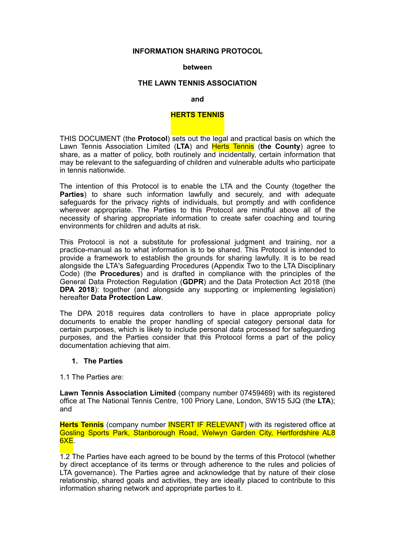### **INFORMATION SHARING PROTOCOL**

#### **between**

## **THE LAWN TENNIS ASSOCIATION**

#### **and**

## **HERTS TENNIS**

THIS DOCUMENT (the **Protocol**) sets out the legal and practical basis on which the Lawn Tennis Association Limited (**LTA**) and Herts Tennis (**the County**) agree to share, as a matter of policy, both routinely and incidentally, certain information that may be relevant to the safeguarding of children and vulnerable adults who participate in tennis nationwide.

The intention of this Protocol is to enable the LTA and the County (together the **Parties**) to share such information lawfully and securely, and with adequate safeguards for the privacy rights of individuals, but promptly and with confidence wherever appropriate. The Parties to this Protocol are mindful above all of the necessity of sharing appropriate information to create safer coaching and touring environments for children and adults at risk.

This Protocol is not a substitute for professional judgment and training, nor a practice-manual as to what information is to be shared. This Protocol is intended to provide a framework to establish the grounds for sharing lawfully. It is to be read alongside the LTA's Safeguarding Procedures (Appendix Two to the LTA Disciplinary Code) (the **Procedures**) and is drafted in compliance with the principles of the General Data Protection Regulation (**GDPR**) and the Data Protection Act 2018 (the **DPA 2018**): together (and alongside any supporting or implementing legislation) hereafter **Data Protection Law**.

The DPA 2018 requires data controllers to have in place appropriate policy documents to enable the proper handling of special category personal data for certain purposes, which is likely to include personal data processed for safeguarding purposes, and the Parties consider that this Protocol forms a part of the policy documentation achieving that aim.

## **1. The Parties**

1.1 The Parties are:

**Lawn Tennis Association Limited** (company number 07459469) with its registered office at The National Tennis Centre, 100 Priory Lane, London, SW15 5JQ (the **LTA**); and

**Herts Tennis** (company number **INSERT IF RELEVANT**) with its registered office at Gosling Sports Park, Stanborough Road, Welwyn Garden City, Hertfordshire AL8 6XE.

1.2 The Parties have each agreed to be bound by the terms of this Protocol (whether by direct acceptance of its terms or through adherence to the rules and policies of LTA governance). The Parties agree and acknowledge that by nature of their close relationship, shared goals and activities, they are ideally placed to contribute to this information sharing network and appropriate parties to it.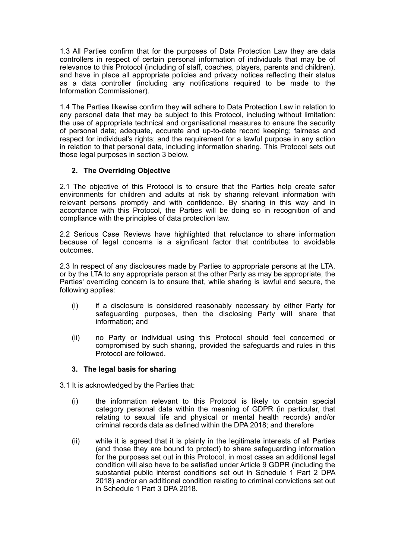1.3 All Parties confirm that for the purposes of Data Protection Law they are data controllers in respect of certain personal information of individuals that may be of relevance to this Protocol (including of staff, coaches, players, parents and children), and have in place all appropriate policies and privacy notices reflecting their status as a data controller (including any notifications required to be made to the Information Commissioner).

1.4 The Parties likewise confirm they will adhere to Data Protection Law in relation to any personal data that may be subject to this Protocol, including without limitation: the use of appropriate technical and organisational measures to ensure the security of personal data; adequate, accurate and up-to-date record keeping; fairness and respect for individual's rights; and the requirement for a lawful purpose in any action in relation to that personal data, including information sharing. This Protocol sets out those legal purposes in section 3 below.

# **2. The Overriding Objective**

2.1 The objective of this Protocol is to ensure that the Parties help create safer environments for children and adults at risk by sharing relevant information with relevant persons promptly and with confidence. By sharing in this way and in accordance with this Protocol, the Parties will be doing so in recognition of and compliance with the principles of data protection law.

2.2 Serious Case Reviews have highlighted that reluctance to share information because of legal concerns is a significant factor that contributes to avoidable outcomes.

2.3 In respect of any disclosures made by Parties to appropriate persons at the LTA, or by the LTA to any appropriate person at the other Party as may be appropriate, the Parties' overriding concern is to ensure that, while sharing is lawful and secure, the following applies:

- (i) if a disclosure is considered reasonably necessary by either Party for safeguarding purposes, then the disclosing Party **will** share that information; and
- (ii) no Party or individual using this Protocol should feel concerned or compromised by such sharing, provided the safeguards and rules in this Protocol are followed.

## **3. The legal basis for sharing**

3.1 It is acknowledged by the Parties that:

- (i) the information relevant to this Protocol is likely to contain special category personal data within the meaning of GDPR (in particular, that relating to sexual life and physical or mental health records) and/or criminal records data as defined within the DPA 2018; and therefore
- (ii) while it is agreed that it is plainly in the legitimate interests of all Parties (and those they are bound to protect) to share safeguarding information for the purposes set out in this Protocol, in most cases an additional legal condition will also have to be satisfied under Article 9 GDPR (including the substantial public interest conditions set out in Schedule 1 Part 2 DPA 2018) and/or an additional condition relating to criminal convictions set out in Schedule 1 Part 3 DPA 2018.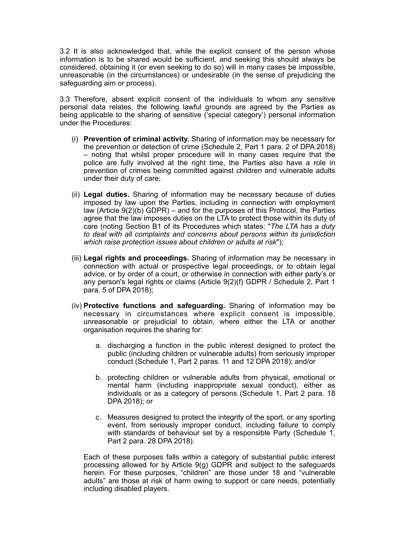3.2 It is also acknowledged that, while the explicit consent of the person whose information is to be shared would be sufficient, and seeking this should always be considered, obtaining it (or even seeking to do so) will in many cases be impossible, unreasonable (in the circumstances) or undesirable (in the sense of prejudicing the safeguarding aim or process).

3.3 Therefore, absent explicit consent of the individuals to whom any sensitive personal data relates, the following lawful grounds are agreed by the Parties as being applicable to the sharing of sensitive ('special category') personal information under the Procedures:

- (i) **Prevention of criminal activity.** Sharing of information may be necessary for the prevention or detection of crime (Schedule 2, Part 1 para. 2 of DPA 2018) – noting that whilst proper procedure will in many cases require that the police are fully involved at the right time, the Parties also have a role in prevention of crimes being committed against children and vulnerable adults under their duty of care;
- (ii) **Legal duties.** Sharing of information may be necessary because of duties imposed by law upon the Parties, including in connection with employment law (Article 9(2)(b) GDPR) – and for the purposes of this Protocol, the Parties agree that the law imposes duties on the LTA to protect those within its duty of care (noting Section B1 of its Procedures which states: "*The LTA has a duty to deal with all complaints and concerns about persons within its jurisdiction which raise protection issues about children or adults at risk*");
- (iii) **Legal rights and proceedings.** Sharing of information may be necessary in connection with actual or prospective legal proceedings, or to obtain legal advice, or by order of a court, or otherwise in connection with either party's or any person's legal rights or claims (Article 9(2)(f) GDPR / Schedule 2, Part 1 para. 5 of DPA 2018);
- (iv) **Protective functions and safeguarding.** Sharing of information may be necessary in circumstances where explicit consent is impossible, unreasonable or prejudicial to obtain, where either the LTA or another organisation requires the sharing for:
	- a. discharging a function in the public interest designed to protect the public (including children or vulnerable adults) from seriously improper conduct (Schedule 1, Part 2 paras. 11 and 12 DPA 2018); and/or
	- b. protecting children or vulnerable adults from physical, emotional or mental harm (including inappropriate sexual conduct), either as individuals or as a category of persons (Schedule 1, Part 2 para. 18 DPA 2018); or
	- c. Measures designed to protect the integrity of the sport, or any sporting event, from seriously improper conduct, including failure to comply with standards of behaviour set by a responsible Party (Schedule 1, Part 2 para. 28 DPA 2018).

Each of these purposes falls within a category of substantial public interest processing allowed for by Article 9(g) GDPR and subject to the safeguards herein. For these purposes, "children" are those under 18 and "vulnerable adults" are those at risk of harm owing to support or care needs, potentially including disabled players.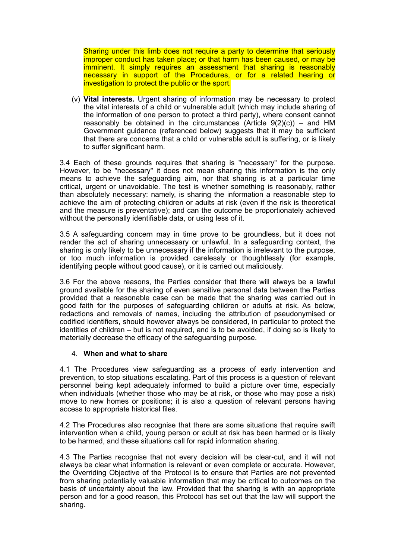Sharing under this limb does not require a party to determine that seriously improper conduct has taken place; or that harm has been caused, or may be imminent. It simply requires an assessment that sharing is reasonably necessary in support of the Procedures, or for a related hearing or investigation to protect the public or the sport.

(v) **Vital interests.** Urgent sharing of information may be necessary to protect the vital interests of a child or vulnerable adult (which may include sharing of the information of one person to protect a third party), where consent cannot reasonably be obtained in the circumstances (Article  $9(2)(c)$ ) – and HM Government guidance (referenced below) suggests that it may be sufficient that there are concerns that a child or vulnerable adult is suffering, or is likely to suffer significant harm.

3.4 Each of these grounds requires that sharing is "necessary" for the purpose. However, to be "necessary" it does not mean sharing this information is the only means to achieve the safeguarding aim, nor that sharing is at a particular time critical, urgent or unavoidable. The test is whether something is reasonably, rather than absolutely necessary: namely, is sharing the information a reasonable step to achieve the aim of protecting children or adults at risk (even if the risk is theoretical and the measure is preventative); and can the outcome be proportionately achieved without the personally identifiable data, or using less of it.

3.5 A safeguarding concern may in time prove to be groundless, but it does not render the act of sharing unnecessary or unlawful. In a safeguarding context, the sharing is only likely to be unnecessary if the information is irrelevant to the purpose, or too much information is provided carelessly or thoughtlessly (for example, identifying people without good cause), or it is carried out maliciously.

3.6 For the above reasons, the Parties consider that there will always be a lawful ground available for the sharing of even sensitive personal data between the Parties provided that a reasonable case can be made that the sharing was carried out in good faith for the purposes of safeguarding children or adults at risk. As below, redactions and removals of names, including the attribution of pseudonymised or codified identifiers, should however always be considered, in particular to protect the identities of children – but is not required, and is to be avoided, if doing so is likely to materially decrease the efficacy of the safeguarding purpose.

## 4. **When and what to share**

4.1 The Procedures view safeguarding as a process of early intervention and prevention, to stop situations escalating. Part of this process is a question of relevant personnel being kept adequately informed to build a picture over time, especially when individuals (whether those who may be at risk, or those who may pose a risk) move to new homes or positions; it is also a question of relevant persons having access to appropriate historical files.

4.2 The Procedures also recognise that there are some situations that require swift intervention when a child, young person or adult at risk has been harmed or is likely to be harmed, and these situations call for rapid information sharing.

4.3 The Parties recognise that not every decision will be clear-cut, and it will not always be clear what information is relevant or even complete or accurate. However, the Overriding Objective of the Protocol is to ensure that Parties are not prevented from sharing potentially valuable information that may be critical to outcomes on the basis of uncertainty about the law. Provided that the sharing is with an appropriate person and for a good reason, this Protocol has set out that the law will support the sharing.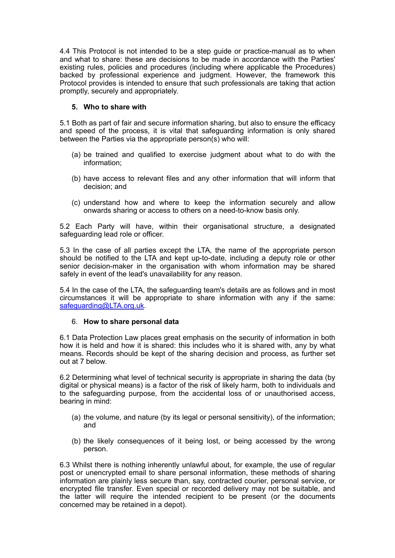4.4 This Protocol is not intended to be a step guide or practice-manual as to when and what to share: these are decisions to be made in accordance with the Parties' existing rules, policies and procedures (including where applicable the Procedures) backed by professional experience and judgment. However, the framework this Protocol provides is intended to ensure that such professionals are taking that action promptly, securely and appropriately.

## **5. Who to share with**

5.1 Both as part of fair and secure information sharing, but also to ensure the efficacy and speed of the process, it is vital that safeguarding information is only shared between the Parties via the appropriate person(s) who will:

- (a) be trained and qualified to exercise judgment about what to do with the information;
- (b) have access to relevant files and any other information that will inform that decision; and
- (c) understand how and where to keep the information securely and allow onwards sharing or access to others on a need-to-know basis only.

5.2 Each Party will have, within their organisational structure, a designated safeguarding lead role or officer.

5.3 In the case of all parties except the LTA, the name of the appropriate person should be notified to the LTA and kept up-to-date, including a deputy role or other senior decision-maker in the organisation with whom information may be shared safely in event of the lead's unavailability for any reason.

5.4 In the case of the LTA, the safeguarding team's details are as follows and in most circumstances it will be appropriate to share information with any if the same: [safeguarding@LTA.org.uk.](mailto:safeguarding@LTA.org.uk)

## 6. **How to share personal data**

6.1 Data Protection Law places great emphasis on the security of information in both how it is held and how it is shared: this includes who it is shared with, any by what means. Records should be kept of the sharing decision and process, as further set out at 7 below.

6.2 Determining what level of technical security is appropriate in sharing the data (by digital or physical means) is a factor of the risk of likely harm, both to individuals and to the safeguarding purpose, from the accidental loss of or unauthorised access, bearing in mind:

- (a) the volume, and nature (by its legal or personal sensitivity), of the information; and
- (b) the likely consequences of it being lost, or being accessed by the wrong person.

6.3 Whilst there is nothing inherently unlawful about, for example, the use of regular post or unencrypted email to share personal information, these methods of sharing information are plainly less secure than, say, contracted courier, personal service, or encrypted file transfer. Even special or recorded delivery may not be suitable, and the latter will require the intended recipient to be present (or the documents concerned may be retained in a depot).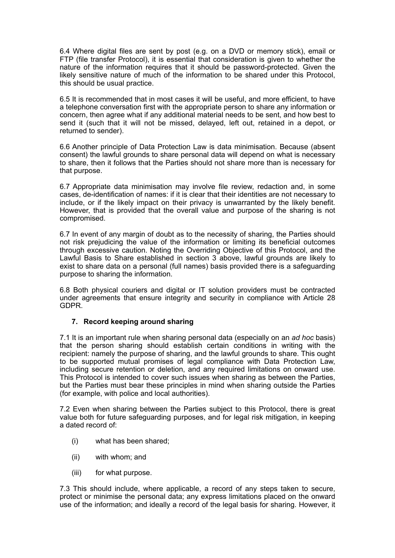6.4 Where digital files are sent by post (e.g. on a DVD or memory stick), email or FTP (file transfer Protocol), it is essential that consideration is given to whether the nature of the information requires that it should be password-protected. Given the likely sensitive nature of much of the information to be shared under this Protocol, this should be usual practice.

6.5 It is recommended that in most cases it will be useful, and more efficient, to have a telephone conversation first with the appropriate person to share any information or concern, then agree what if any additional material needs to be sent, and how best to send it (such that it will not be missed, delayed, left out, retained in a depot, or returned to sender).

6.6 Another principle of Data Protection Law is data minimisation. Because (absent consent) the lawful grounds to share personal data will depend on what is necessary to share, then it follows that the Parties should not share more than is necessary for that purpose.

6.7 Appropriate data minimisation may involve file review, redaction and, in some cases, de-identification of names: if it is clear that their identities are not necessary to include, or if the likely impact on their privacy is unwarranted by the likely benefit. However, that is provided that the overall value and purpose of the sharing is not compromised.

6.7 In event of any margin of doubt as to the necessity of sharing, the Parties should not risk prejudicing the value of the information or limiting its beneficial outcomes through excessive caution. Noting the Overriding Objective of this Protocol, and the Lawful Basis to Share established in section 3 above, lawful grounds are likely to exist to share data on a personal (full names) basis provided there is a safeguarding purpose to sharing the information.

6.8 Both physical couriers and digital or IT solution providers must be contracted under agreements that ensure integrity and security in compliance with Article 28 GDPR.

## **7. Record keeping around sharing**

7.1 It is an important rule when sharing personal data (especially on an *ad hoc* basis) that the person sharing should establish certain conditions in writing with the recipient: namely the purpose of sharing, and the lawful grounds to share. This ought to be supported mutual promises of legal compliance with Data Protection Law, including secure retention or deletion, and any required limitations on onward use. This Protocol is intended to cover such issues when sharing as between the Parties, but the Parties must bear these principles in mind when sharing outside the Parties (for example, with police and local authorities).

7.2 Even when sharing between the Parties subject to this Protocol, there is great value both for future safeguarding purposes, and for legal risk mitigation, in keeping a dated record of:

- (i) what has been shared;
- (ii) with whom; and
- (iii) for what purpose.

7.3 This should include, where applicable, a record of any steps taken to secure, protect or minimise the personal data; any express limitations placed on the onward use of the information; and ideally a record of the legal basis for sharing. However, it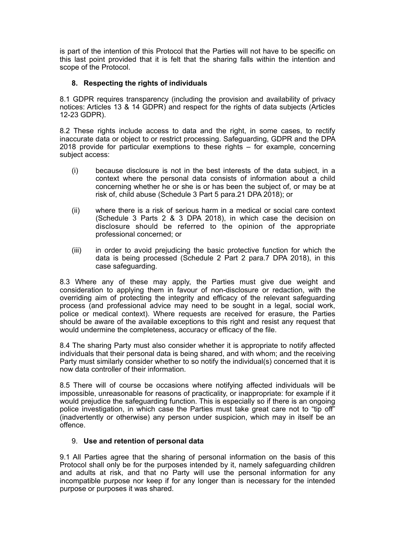is part of the intention of this Protocol that the Parties will not have to be specific on this last point provided that it is felt that the sharing falls within the intention and scope of the Protocol.

# **8. Respecting the rights of individuals**

8.1 GDPR requires transparency (including the provision and availability of privacy notices: Articles 13 & 14 GDPR) and respect for the rights of data subjects (Articles 12-23 GDPR).

8.2 These rights include access to data and the right, in some cases, to rectify inaccurate data or object to or restrict processing. Safeguarding, GDPR and the DPA 2018 provide for particular exemptions to these rights – for example, concerning subject access:

- (i) because disclosure is not in the best interests of the data subject, in a context where the personal data consists of information about a child concerning whether he or she is or has been the subject of, or may be at risk of, child abuse (Schedule 3 Part 5 para.21 DPA 2018); or
- (ii) where there is a risk of serious harm in a medical or social care context (Schedule 3 Parts 2 & 3 DPA 2018), in which case the decision on disclosure should be referred to the opinion of the appropriate professional concerned; or
- (iii) in order to avoid prejudicing the basic protective function for which the data is being processed (Schedule 2 Part 2 para.7 DPA 2018), in this case safeguarding.

8.3 Where any of these may apply, the Parties must give due weight and consideration to applying them in favour of non-disclosure or redaction, with the overriding aim of protecting the integrity and efficacy of the relevant safeguarding process (and professional advice may need to be sought in a legal, social work, police or medical context). Where requests are received for erasure, the Parties should be aware of the available exceptions to this right and resist any request that would undermine the completeness, accuracy or efficacy of the file.

8.4 The sharing Party must also consider whether it is appropriate to notify affected individuals that their personal data is being shared, and with whom; and the receiving Party must similarly consider whether to so notify the individual(s) concerned that it is now data controller of their information.

8.5 There will of course be occasions where notifying affected individuals will be impossible, unreasonable for reasons of practicality, or inappropriate: for example if it would prejudice the safeguarding function. This is especially so if there is an ongoing police investigation, in which case the Parties must take great care not to "tip off" (inadvertently or otherwise) any person under suspicion, which may in itself be an offence.

## 9. **Use and retention of personal data**

9.1 All Parties agree that the sharing of personal information on the basis of this Protocol shall only be for the purposes intended by it, namely safeguarding children and adults at risk, and that no Party will use the personal information for any incompatible purpose nor keep if for any longer than is necessary for the intended purpose or purposes it was shared.